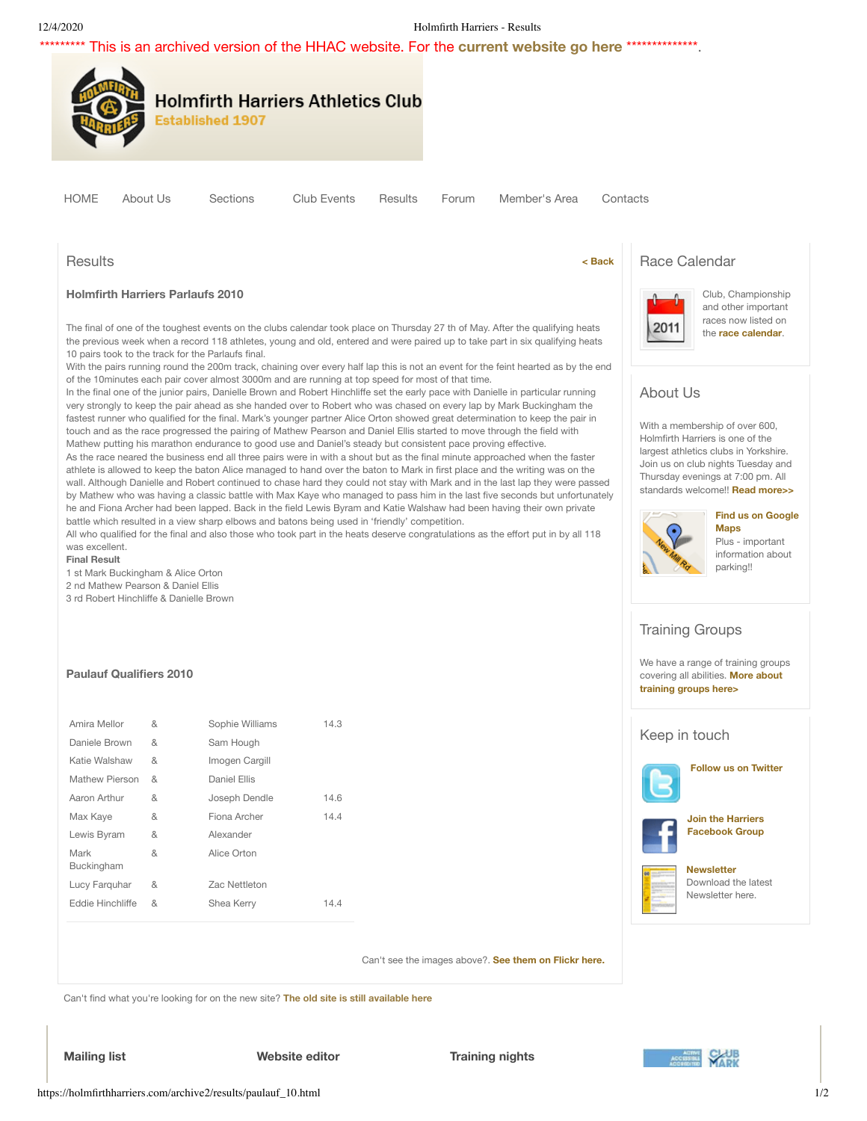## 12/4/2020 Holmfirth Harriers - Results

\*\*\*\*\*\*\*\*\* This is an archived version of the HHAC website. For the **current [website](http://www.holmfirthharriers.com/) go here** \*\*\*\*\*\*\*\*\*\*\*\*\*\*.



Can't find what you're looking for on the new site? **The old site is still [available](http://www.holmfirthharriers.com/archive/) here**

**Mailing list Website editor Training nights**